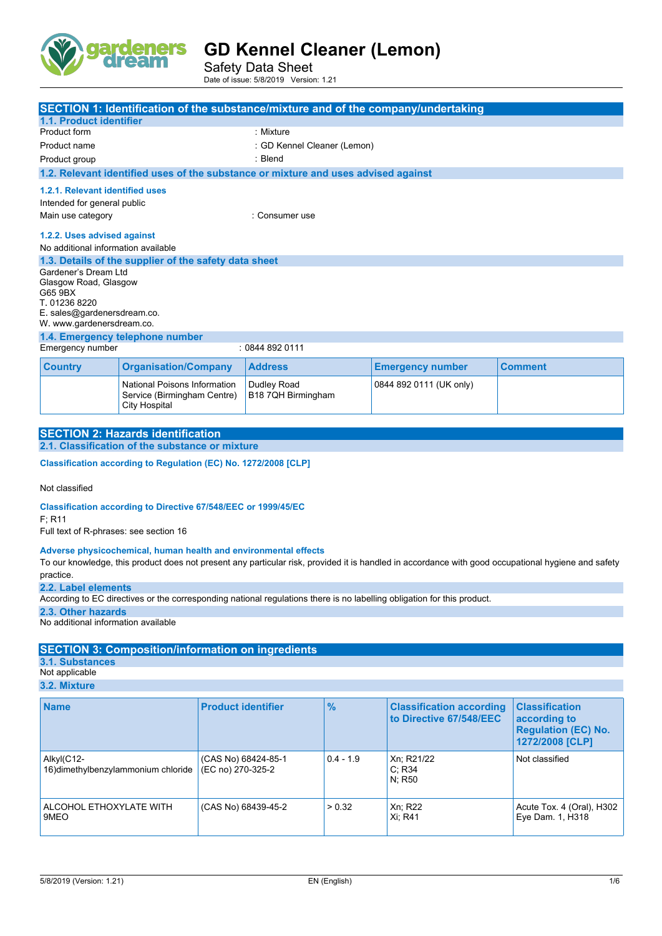

Safety Data Sheet Date of issue: 5/8/2019 Version: 1.21

| SECTION 1: Identification of the substance/mixture and of the company/undertaking |                                                                              |                                                                                    |                         |                |
|-----------------------------------------------------------------------------------|------------------------------------------------------------------------------|------------------------------------------------------------------------------------|-------------------------|----------------|
| 1.1. Product identifier                                                           |                                                                              |                                                                                    |                         |                |
| Product form                                                                      |                                                                              | : Mixture                                                                          |                         |                |
| Product name                                                                      |                                                                              | : GD Kennel Cleaner (Lemon)                                                        |                         |                |
| Product group                                                                     |                                                                              | : Blend                                                                            |                         |                |
|                                                                                   |                                                                              | 1.2. Relevant identified uses of the substance or mixture and uses advised against |                         |                |
| 1.2.1. Relevant identified uses<br>Intended for general public                    |                                                                              |                                                                                    |                         |                |
| Main use category<br>: Consumer use                                               |                                                                              |                                                                                    |                         |                |
|                                                                                   | 1.2.2. Uses advised against                                                  |                                                                                    |                         |                |
| No additional information available                                               |                                                                              |                                                                                    |                         |                |
|                                                                                   | 1.3. Details of the supplier of the safety data sheet                        |                                                                                    |                         |                |
| Gardener's Dream I td                                                             |                                                                              |                                                                                    |                         |                |
| Glasgow Road, Glasgow                                                             |                                                                              |                                                                                    |                         |                |
| G65 9BX<br>T. 01236 8220                                                          |                                                                              |                                                                                    |                         |                |
| E. sales@gardenersdream.co.                                                       |                                                                              |                                                                                    |                         |                |
| W. www.gardenersdream.co.                                                         |                                                                              |                                                                                    |                         |                |
| 1.4. Emergency telephone number                                                   |                                                                              |                                                                                    |                         |                |
| Emergency number<br>: 08448920111                                                 |                                                                              |                                                                                    |                         |                |
| <b>Country</b>                                                                    | <b>Organisation/Company</b>                                                  | <b>Address</b>                                                                     | <b>Emergency number</b> | <b>Comment</b> |
|                                                                                   | National Poisons Information<br>Service (Birmingham Centre)<br>City Hospital | Dudley Road<br>B18 7QH Birmingham                                                  | 0844 892 0111 (UK only) |                |

| <b>SECTION 2: Hazards identification</b>        |  |
|-------------------------------------------------|--|
| 2.1. Classification of the substance or mixture |  |
|                                                 |  |

**Classification according to Regulation (EC) No. 1272/2008 [CLP]** 

Not classified

**Classification according to Directive 67/548/EEC or 1999/45/EC**

F; R11

Full text of R-phrases: see section 16

#### **Adverse physicochemical, human health and environmental effects**

To our knowledge, this product does not present any particular risk, provided it is handled in accordance with good occupational hygiene and safety practice.

**2.2. Label elements**

According to EC directives or the corresponding national regulations there is no labelling obligation for this product.

**2.3. Other hazards**

No additional information available

#### **SECTION 3: Composition/information on ingredients**

**3.1. Substances**

Not applicable **3.2. Mixture**

**Name Product identifier 1966 Classification according Product identifier 1966 Classification according to Directive 67/548/EEC Classification according to Regulation (EC) No. 1272/2008 [CLP]** Alkyl(C12- 16)dimethylbenzylammonium chloride (CAS No) 68424-85-1 (EC no) 270-325-2 0.4 - 1.9 Xn; R21/22 C; R34 N; R50 Not classified ALCOHOL ETHOXYLATE WITH 9MEO (CAS No) 68439-45-2 > 0.32 Xn; R22 Xi; R41 Acute Tox. 4 (Oral), H302 Eye Dam. 1, H318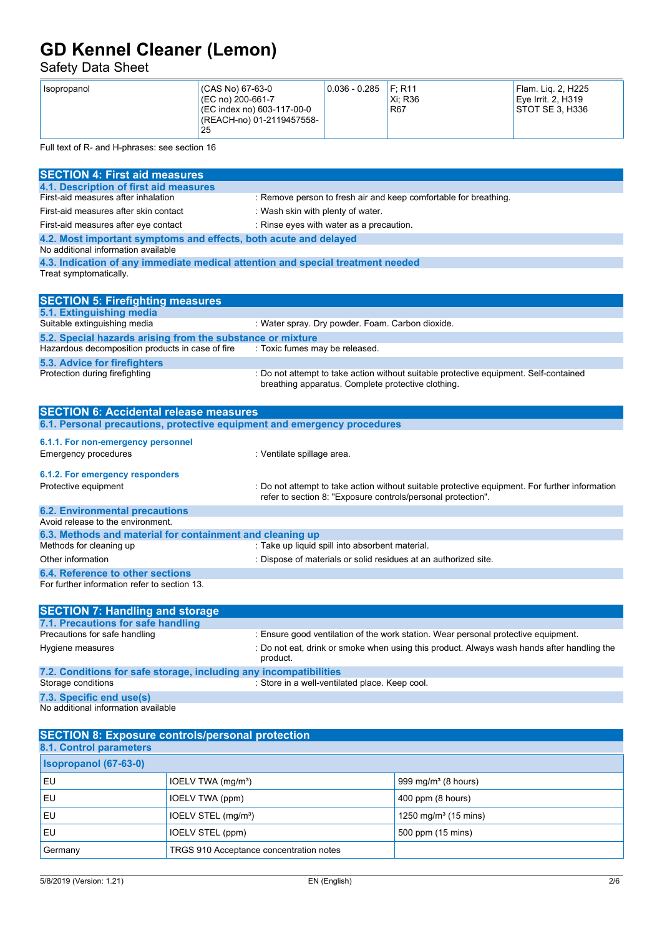### Safety Data Sheet

| (CAS No) 67-63-0<br>Isopropanol<br>$(C)$ (EC no) 200-661-7<br>(EC index no) 603-117-00-0<br>(REACH-no) 01-2119457558-<br>25 | $0.036 - 0.285$ | F: R11<br>Xi: R36<br><b>R67</b> | Flam. Lig. 2, H225<br>Eve Irrit, 2, H319<br>STOT SE 3. H336 |
|-----------------------------------------------------------------------------------------------------------------------------|-----------------|---------------------------------|-------------------------------------------------------------|
|-----------------------------------------------------------------------------------------------------------------------------|-----------------|---------------------------------|-------------------------------------------------------------|

Full text of R- and H-phrases: see section 16

| <b>SECTION 4: First aid measures</b>                                                                      |                                                                                                                                                                |
|-----------------------------------------------------------------------------------------------------------|----------------------------------------------------------------------------------------------------------------------------------------------------------------|
| 4.1. Description of first aid measures                                                                    |                                                                                                                                                                |
| First-aid measures after inhalation                                                                       | : Remove person to fresh air and keep comfortable for breathing.                                                                                               |
| First-aid measures after skin contact                                                                     | : Wash skin with plenty of water.                                                                                                                              |
| First-aid measures after eye contact                                                                      | : Rinse eyes with water as a precaution.                                                                                                                       |
| 4.2. Most important symptoms and effects, both acute and delayed<br>No additional information available   |                                                                                                                                                                |
|                                                                                                           |                                                                                                                                                                |
| 4.3. Indication of any immediate medical attention and special treatment needed<br>Treat symptomatically. |                                                                                                                                                                |
| <b>SECTION 5: Firefighting measures</b>                                                                   |                                                                                                                                                                |
| 5.1. Extinguishing media                                                                                  |                                                                                                                                                                |
| Suitable extinguishing media                                                                              | : Water spray. Dry powder. Foam. Carbon dioxide.                                                                                                               |
| 5.2. Special hazards arising from the substance or mixture                                                |                                                                                                                                                                |
| Hazardous decomposition products in case of fire                                                          | : Toxic fumes may be released.                                                                                                                                 |
| 5.3. Advice for firefighters                                                                              |                                                                                                                                                                |
| Protection during firefighting                                                                            | : Do not attempt to take action without suitable protective equipment. Self-contained<br>breathing apparatus. Complete protective clothing.                    |
| <b>SECTION 6: Accidental release measures</b>                                                             |                                                                                                                                                                |
| 6.1. Personal precautions, protective equipment and emergency procedures                                  |                                                                                                                                                                |
| 6.1.1. For non-emergency personnel                                                                        |                                                                                                                                                                |
| <b>Emergency procedures</b>                                                                               | : Ventilate spillage area.                                                                                                                                     |
| 6.1.2. For emergency responders                                                                           |                                                                                                                                                                |
| Protective equipment                                                                                      | : Do not attempt to take action without suitable protective equipment. For further information<br>refer to section 8: "Exposure controls/personal protection". |
| <b>6.2. Environmental precautions</b>                                                                     |                                                                                                                                                                |
| Avoid release to the environment.                                                                         |                                                                                                                                                                |
| 6.3. Methods and material for containment and cleaning up                                                 |                                                                                                                                                                |
| Methods for cleaning up                                                                                   | : Take up liquid spill into absorbent material.                                                                                                                |
| Other information                                                                                         | : Dispose of materials or solid residues at an authorized site.                                                                                                |
| 6.4. Reference to other sections                                                                          |                                                                                                                                                                |
| For further information refer to section 13.                                                              |                                                                                                                                                                |
| <b>SECTION 7: Handling and storage</b>                                                                    |                                                                                                                                                                |
| 7.1. Precautions for safe handling                                                                        |                                                                                                                                                                |
| Precautions for safe handling                                                                             | : Ensure good ventilation of the work station. Wear personal protective equipment.                                                                             |
| Hygiene measures                                                                                          | : Do not eat, drink or smoke when using this product. Always wash hands after handling the<br>product.                                                         |
| 7.2. Conditions for safe storage, including any incompatibilities                                         |                                                                                                                                                                |
| Storage conditions                                                                                        | : Store in a well-ventilated place. Keep cool.                                                                                                                 |
| 7.3. Specific end use(s)                                                                                  |                                                                                                                                                                |
| No additional information available                                                                       |                                                                                                                                                                |

| <b>SECTION 8: Exposure controls/personal protection</b> |                                         |                                  |
|---------------------------------------------------------|-----------------------------------------|----------------------------------|
| 8.1. Control parameters                                 |                                         |                                  |
| <b>Isopropanol (67-63-0)</b>                            |                                         |                                  |
| <b>EU</b>                                               | IOELV TWA (mg/m <sup>3</sup> )          | 999 mg/m <sup>3</sup> (8 hours)  |
| l EU                                                    | IOELV TWA (ppm)                         | 400 ppm (8 hours)                |
| <b>EU</b>                                               | IOELV STEL (mg/m <sup>3</sup> )         | 1250 mg/m <sup>3</sup> (15 mins) |
| EU                                                      | IOELV STEL (ppm)                        | 500 ppm (15 mins)                |
| Germany                                                 | TRGS 910 Acceptance concentration notes |                                  |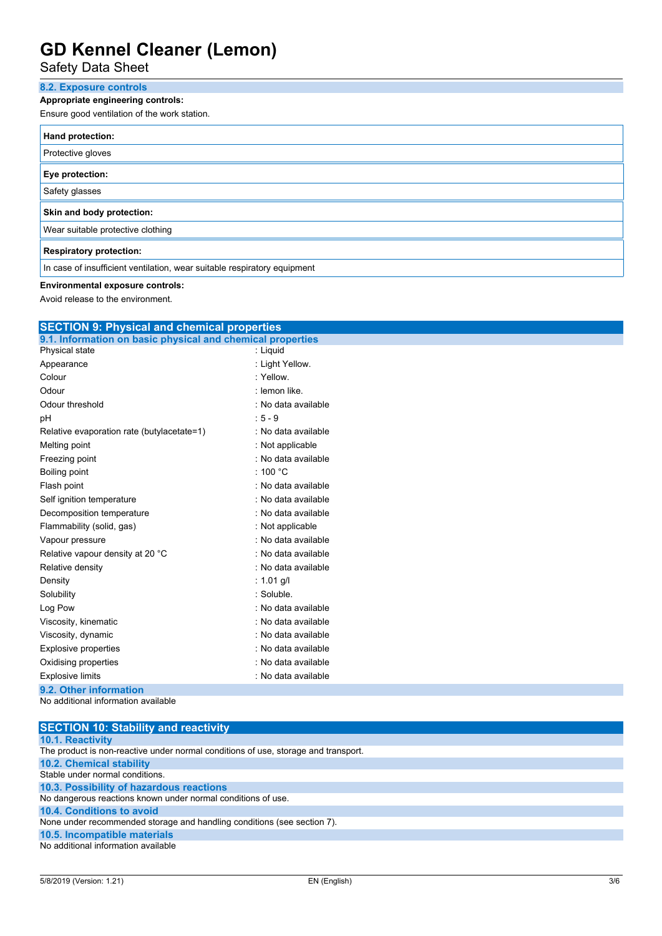### Safety Data Sheet

### **8.2. Exposure controls Appropriate engineering controls:** Ensure good ventilation of the work station. **Hand protection:** Protective gloves **Eye protection:** Safety glasses **Skin and body protection:** Wear suitable protective clothing **Respiratory protection:** In case of insufficient ventilation, wear suitable respiratory equipment

#### **Environmental exposure controls:**

Avoid release to the environment.

| <b>SECTION 9: Physical and chemical properties</b>         |                     |  |  |
|------------------------------------------------------------|---------------------|--|--|
| 9.1. Information on basic physical and chemical properties |                     |  |  |
| Physical state                                             | : Liquid            |  |  |
| Appearance                                                 | : Light Yellow.     |  |  |
| Colour                                                     | : Yellow.           |  |  |
| Odour                                                      | : lemon like.       |  |  |
| Odour threshold                                            | : No data available |  |  |
| pH                                                         | $: 5 - 9$           |  |  |
| Relative evaporation rate (butylacetate=1)                 | : No data available |  |  |
| Melting point                                              | : Not applicable    |  |  |
| Freezing point                                             | : No data available |  |  |
| Boiling point                                              | : 100 $^{\circ}$ C  |  |  |
| Flash point                                                | : No data available |  |  |
| Self ignition temperature                                  | : No data available |  |  |
| Decomposition temperature                                  | : No data available |  |  |
| Flammability (solid, gas)                                  | : Not applicable    |  |  |
| Vapour pressure                                            | : No data available |  |  |
| Relative vapour density at 20 °C                           | : No data available |  |  |
| Relative density                                           | : No data available |  |  |
| Density                                                    | : 1.01 g/l          |  |  |
| Solubility                                                 | : Soluble.          |  |  |
| Log Pow                                                    | : No data available |  |  |
| Viscosity, kinematic                                       | : No data available |  |  |
| Viscosity, dynamic                                         | : No data available |  |  |
| <b>Explosive properties</b>                                | : No data available |  |  |
| Oxidising properties                                       | : No data available |  |  |
| <b>Explosive limits</b>                                    | : No data available |  |  |
| 9.2. Other information                                     |                     |  |  |
| No additional information available                        |                     |  |  |
|                                                            |                     |  |  |

| <b>SECTION 10: Stability and reactivity</b>                                        |
|------------------------------------------------------------------------------------|
| <b>10.1. Reactivity</b>                                                            |
| The product is non-reactive under normal conditions of use, storage and transport. |
| <b>10.2. Chemical stability</b>                                                    |
| Stable under normal conditions.                                                    |
| 10.3. Possibility of hazardous reactions                                           |
| No dangerous reactions known under normal conditions of use.                       |
| 10.4. Conditions to avoid                                                          |
| None under recommended storage and handling conditions (see section 7).            |
| 10.5. Incompatible materials                                                       |
| No additional information available                                                |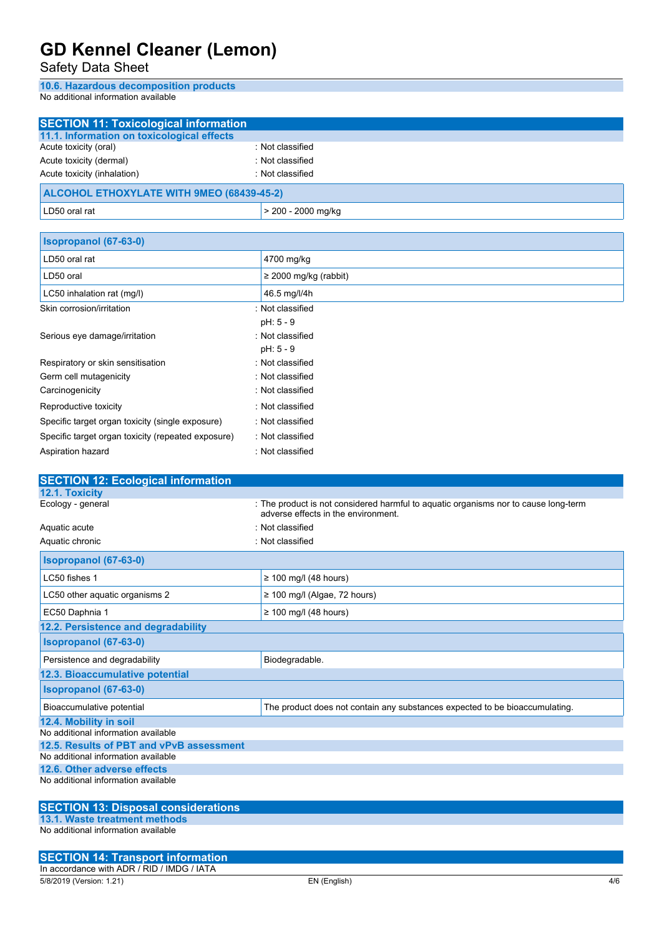Safety Data Sheet

**10.6. Hazardous decomposition products** No additional information available

| <b>SECTION 11: Toxicological information</b> |                            |  |
|----------------------------------------------|----------------------------|--|
| 11.1. Information on toxicological effects   |                            |  |
| Acute toxicity (oral)                        | : Not classified           |  |
| Acute toxicity (dermal)                      | : Not classified           |  |
| Acute toxicity (inhalation)                  | : Not classified           |  |
| ALCOHOL ETHOXYLATE WITH 9MEO (68439-45-2)    |                            |  |
| LD50 oral rat                                | > 200 - 2000 mg/kg         |  |
|                                              |                            |  |
| Isopropanol (67-63-0)                        |                            |  |
| LD50 oral rat                                | 4700 mg/kg                 |  |
| LD50 oral                                    | $\geq$ 2000 mg/kg (rabbit) |  |
| LC50 inhalation rat (mg/l)                   | 46.5 mg/l/4h               |  |
| Skin corrosion/irritation                    | : Not classified           |  |
|                                              | $pH: 5 - 9$                |  |
| Serious eye damage/irritation                | : Not classified           |  |

|                                                    | $pH: 5 - 9$      |
|----------------------------------------------------|------------------|
| Respiratory or skin sensitisation                  | : Not classified |
| Germ cell mutagenicity                             | : Not classified |
| Carcinogenicity                                    | : Not classified |
| Reproductive toxicity                              | : Not classified |
| Specific target organ toxicity (single exposure)   | : Not classified |
| Specific target organ toxicity (repeated exposure) | : Not classified |
| Aspiration hazard                                  | : Not classified |
|                                                    |                  |

| <b>SECTION 12: Ecological information</b>  |                                                                                                                            |  |  |
|--------------------------------------------|----------------------------------------------------------------------------------------------------------------------------|--|--|
| 12.1. Toxicity                             |                                                                                                                            |  |  |
| Ecology - general                          | : The product is not considered harmful to aquatic organisms nor to cause long-term<br>adverse effects in the environment. |  |  |
| Aquatic acute                              | : Not classified                                                                                                           |  |  |
| Aquatic chronic                            | : Not classified                                                                                                           |  |  |
| <b>Isopropanol (67-63-0)</b>               |                                                                                                                            |  |  |
| LC50 fishes 1                              | $\geq$ 100 mg/l (48 hours)                                                                                                 |  |  |
| LC50 other aquatic organisms 2             | $\geq$ 100 mg/l (Algae, 72 hours)                                                                                          |  |  |
| EC50 Daphnia 1                             | $\geq$ 100 mg/l (48 hours)                                                                                                 |  |  |
| 12.2. Persistence and degradability        |                                                                                                                            |  |  |
| Isopropanol (67-63-0)                      |                                                                                                                            |  |  |
| Persistence and degradability              | Biodegradable.                                                                                                             |  |  |
| 12.3. Bioaccumulative potential            |                                                                                                                            |  |  |
| Isopropanol (67-63-0)                      |                                                                                                                            |  |  |
| Bioaccumulative potential                  | The product does not contain any substances expected to be bioaccumulating.                                                |  |  |
| 12.4. Mobility in soil                     |                                                                                                                            |  |  |
| No additional information available        |                                                                                                                            |  |  |
| 12.5. Results of PBT and vPvB assessment   |                                                                                                                            |  |  |
| No additional information available        |                                                                                                                            |  |  |
| 12.6. Other adverse effects                |                                                                                                                            |  |  |
| No additional information available        |                                                                                                                            |  |  |
| <b>SECTION 13: Disposal considerations</b> |                                                                                                                            |  |  |

#### **SECTION 13: Disposal considerations**

**13.1. Waste treatment methods** No additional information available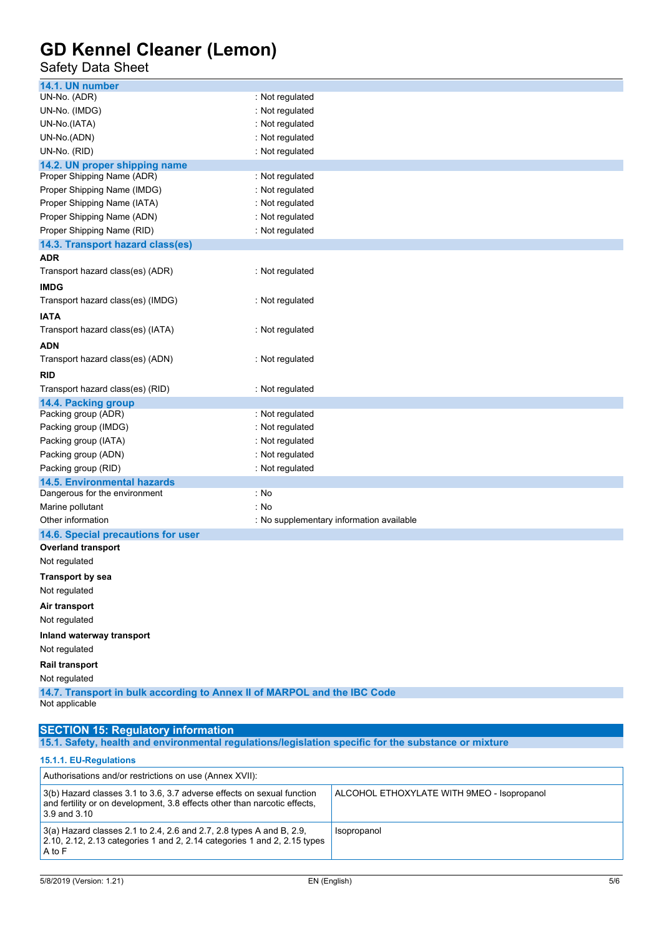### Safety Data Sheet

| 14.1. UN number                                                                            |                                          |  |
|--------------------------------------------------------------------------------------------|------------------------------------------|--|
| UN-No. (ADR)                                                                               | : Not regulated                          |  |
| UN-No. (IMDG)                                                                              | : Not regulated                          |  |
| UN-No.(IATA)                                                                               | : Not regulated                          |  |
| UN-No.(ADN)                                                                                | : Not regulated                          |  |
| UN-No. (RID)                                                                               | : Not regulated                          |  |
| 14.2. UN proper shipping name                                                              |                                          |  |
| Proper Shipping Name (ADR)                                                                 | : Not regulated                          |  |
| Proper Shipping Name (IMDG)                                                                | : Not regulated                          |  |
| Proper Shipping Name (IATA)                                                                | : Not regulated                          |  |
| Proper Shipping Name (ADN)                                                                 | : Not regulated                          |  |
| Proper Shipping Name (RID)                                                                 | : Not regulated                          |  |
| 14.3. Transport hazard class(es)                                                           |                                          |  |
| ADR                                                                                        |                                          |  |
| Transport hazard class(es) (ADR)                                                           | : Not regulated                          |  |
| <b>IMDG</b>                                                                                |                                          |  |
| Transport hazard class(es) (IMDG)                                                          | : Not regulated                          |  |
| <b>IATA</b>                                                                                |                                          |  |
| Transport hazard class(es) (IATA)                                                          | : Not regulated                          |  |
| ADN                                                                                        |                                          |  |
| Transport hazard class(es) (ADN)                                                           | : Not regulated                          |  |
| RID                                                                                        |                                          |  |
| Transport hazard class(es) (RID)                                                           | : Not regulated                          |  |
| 14.4. Packing group                                                                        |                                          |  |
| Packing group (ADR)                                                                        | : Not regulated                          |  |
| Packing group (IMDG)                                                                       | : Not regulated                          |  |
| Packing group (IATA)                                                                       | : Not regulated                          |  |
| Packing group (ADN)                                                                        | : Not regulated                          |  |
| Packing group (RID)                                                                        | : Not regulated                          |  |
| <b>14.5. Environmental hazards</b>                                                         |                                          |  |
| Dangerous for the environment                                                              | : No                                     |  |
| Marine pollutant                                                                           | : No                                     |  |
| Other information                                                                          | : No supplementary information available |  |
| 14.6. Special precautions for user                                                         |                                          |  |
| <b>Overland transport</b>                                                                  |                                          |  |
| Not regulated                                                                              |                                          |  |
| <b>Transport by sea</b>                                                                    |                                          |  |
| Not regulated                                                                              |                                          |  |
| Air transport                                                                              |                                          |  |
| Not regulated                                                                              |                                          |  |
| Inland waterway transport                                                                  |                                          |  |
| Not regulated                                                                              |                                          |  |
| Rail transport                                                                             |                                          |  |
| Not regulated                                                                              |                                          |  |
| 14.7. Transport in bulk according to Annex II of MARPOL and the IBC Code<br>Not applicable |                                          |  |
|                                                                                            |                                          |  |

#### **SECTION 15: Regulatory information**

**15.1. Safety, health and environmental regulations/legislation specific for the substance or mixture**

**15.1.1. EU-Regulations**

| Authorisations and/or restrictions on use (Annex XVII):                                                                                                                 |                                            |  |
|-------------------------------------------------------------------------------------------------------------------------------------------------------------------------|--------------------------------------------|--|
| 3(b) Hazard classes 3.1 to 3.6, 3.7 adverse effects on sexual function<br>and fertility or on development, 3.8 effects other than narcotic effects,<br>$3.9$ and $3.10$ | ALCOHOL ETHOXYLATE WITH 9MEO - Isopropanol |  |
| $3(a)$ Hazard classes 2.1 to 2.4, 2.6 and 2.7, 2.8 types A and B, 2.9,<br>2.10, 2.12, 2.13 categories 1 and 2, 2.14 categories 1 and 2, 2.15 types<br>A to F            | Isopropanol                                |  |